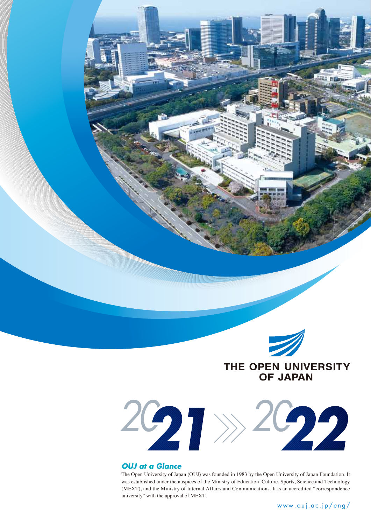

THE OPEN UNIVERSITY **OF JAPAN** 



### *OUJ at a Glance*

The Open University of Japan (OUJ) was founded in 1983 by the Open University of Japan Foundation. It was established under the auspices of the Ministry of Education, Culture, Sports, Science and Technology (MEXT), and the Ministry of Internal Affairs and Communications. It is an accredited "correspondence university" with the approval of MEXT.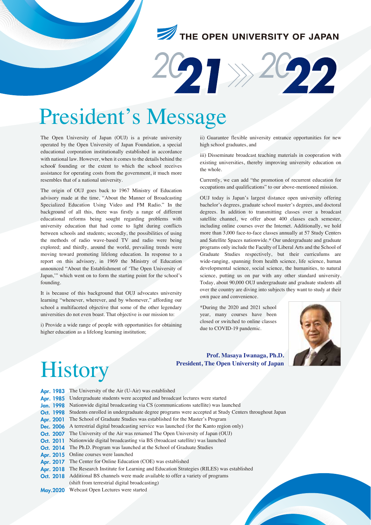## THE OPEN UNIVERSITY OF JAPAN



## President's Message

The Open University of Japan (OUJ) is a private university operated by the Open University of Japan Foundation, a special educational corporation institutionally established in accordance with national law. However, when it comes to the details behind the school' founding or the extent to which the school receives assistance for operating costs from the government, it much more resembles that of a national university.

The origin of OUJ goes back to 1967 Ministry of Education advisory made at the time, "About the Manner of Broadcasting Specialized Education Using Video and FM Radio." In the background of all this, there was firstly a range of different educational reforms being sought regarding problems with university education that had come to light during conflicts between schools and students; secondly, the possibilities of using the methods of radio wave-based TV and radio were being explored; and thirdly, around the world, prevailing trends were moving toward promoting lifelong education. In response to a report on this advisory, in 1969 the Ministry of Education announced "About the Establishment of 'The Open University of Japan,'" which went on to form the starting point for the school's founding.

It is because of this background that OUJ advocates university learning "whenever, wherever, and by whomever," affording our school a multifaceted objective that some of the other legendary universities do not even boast. That objective is our mission to:

i) Provide a wide range of people with opportunities for obtaining higher education as a lifelong learning institution;

ii) Guarantee flexible university entrance opportunities for new high school graduates, and

iii) Disseminate broadcast teaching materials in cooperation with existing universities, thereby improving university education on the whole.

Currently, we can add "the promotion of recurrent education for occupations and qualifications" to our above-mentioned mission.

OUJ today is Japan's largest distance open university offering bachelor's degrees, graduate school master's degrees, and doctoral degrees. In addition to transmitting classes over a broadcast satellite channel, we offer about 400 classes each semester, including online courses over the Internet. Additionally, we hold more than 3,000 face-to-face classes annually at 57 Study Centers and Satellite Spaces nationwide.\* Our undergraduate and graduate programs only include the Faculty of Liberal Arts and the School of Graduate Studies respectively, but their curriculums are wide-ranging, spanning from health science, life science, human developmental science, social science, the humanities, to natural science, putting us on par with any other standard university. Today, about 90,000 OUJ undergraduate and graduate students all over the country are diving into subjects they want to study at their own pace and convenience.

\*During the 2020 and 2021 school year, many courses have been closed or switched to online classes due to COVID-19 pandemic.

**Prof. Masaya Iwanaga, Ph.D.**

**President, The Open University of Japan**



## **History**

|  | Apr. 1983 The University of the Air (U-Air) was established |  |
|--|-------------------------------------------------------------|--|

- Apr. 1985 Undergraduate students were accepted and broadcast lectures were started
- Nationwide digital broadcasting via CS (communications satellite) was launched Jan. 1998
- Students enrolled in undergraduate degree programs were accepted at Study Centers throughout Japan Oct. 1998
- The School of Graduate Studies was established for the Master's Program Apr. 2001
- Dec. 2006 A terrestrial digital broadcasting service was launched (for the Kanto region only)
- The University of the Air was renamed The Open University of Japan (OUJ) Oct. 2007
- Oct. 2011 Nationwide digital broadcasting via BS (broadcast satellite) was launched
- Oct. 2014 The Ph.D. Program was launched at the School of Graduate Studies
- Apr. 2015 Online courses were launched
- Apr. 2017 The Center for Online Education (COE) was established
- Apr. 2018 The Research Institute for Learning and Education Strategies (RILES) was established
- Additional BS channels were made available to offer a variety of programs Oct. 2018
- (shift from terrestrial digital broadcasting)
- May. 2020 Webcast Open Lectures were started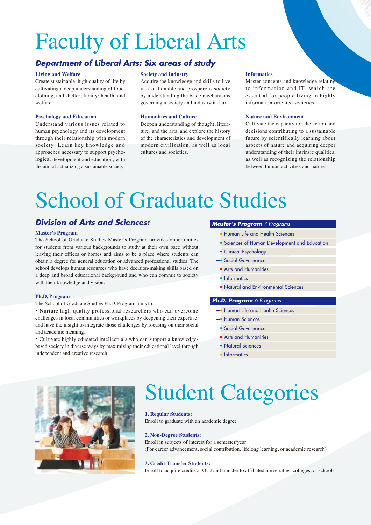## Faculty of Liberal Arts

## *Department of Liberal Arts: Six areas of study*

### **Living and Welfare**

Create sustainable, high quality of life by cultivating a deep understanding of food, clothing, and shelter; family; health; and welfare.

#### **Psychology and Education**

Understand various issues related to human psychology and its development through their relationship with modern society. Learn key knowledge and approaches necessary to support psychological development and education, with the aim of actualizing a sustainable society.

### **Society and Industry**

Acquire the knowledge and skills to live in a sustainable and prosperous society by understanding the basic mechanisms governing a society and industry in flux.

#### **Humanities and Culture**

Deepen understanding of thought, literature, and the arts, and explore the history of the characteristics and development of modern civilization, as well as local cultures and societies.

#### **Informatics**

Master concepts and knowledge relating to information and IT, which are essential for people living in highly information-oriented societies.

#### **Nature and Environment**

Cultivate the capacity to take action and decisions contributing to a sustainable future by scientifically learning about aspects of nature and acquiring deeper understanding of their intrinsic qualities, as well as recognizing the relationship between human activities and nature.

## School of Graduate Studies

## *Division of Arts and Sciences:*

#### **Master's Program**

The School of Graduate Studies Master's Program provides opportunities for students from various backgrounds to study at their own pace without leaving their offices or homes and aims to be a place where students can obtain a degree for general education or advanced professional studies. The school develops human resources who have decision-making skills based on a deep and broad educational background and who can commit to society with their knowledge and vision.

### **Ph.D. Program**

The School of Graduate Studies Ph.D. Program aims to:

・Nurture high-quality professional researchers who can overcome challenges in local communities or workplaces by deepening their expertise, and have the insight to integrate those challenges by focusing on their social and academic meaning.

・Cultivate highly educated intellectuals who can support a knowledgebased society in diverse ways by maximizing their educational level through independent and creative research.

#### *Master's Program 7 Programs*

- Human Life and Health Sciences
- Sciences of Human Development and Education
- Clinical Psychology
- Social Governance
- **Arts and Humanities**
- Informatics
- Natural and Environmental Sciences

### *Ph.D. Program 6 Programs*

- Human Life and Health Sciences
- Human Sciences
- Social Governance
- Arts and Humanities
- Natural Sciences
- **Informatics**



## Student Categories

### **1. Regular Students:**

Enroll to graduate with an academic degree

### **2. Non-Degree Students:**

Enroll in subjects of interest for a semester/year (For career advancement, social contribution, lifelong learning, or academic research)

#### **3. Credit Transfer Students:**

Enroll to acquire credits at OUJ and transfer to affiliated universities, colleges, or schools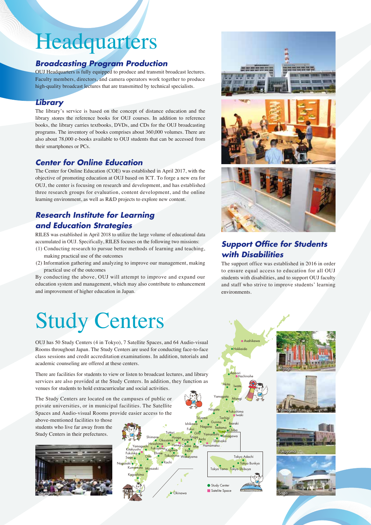## Headquarters

## *Broadcasting Program Production*

OUJ Headquarters is fully equipped to produce and transmit broadcast lectures. Faculty members, directors, and camera operators work together to produce high-quality broadcast lectures that are transmitted by technical specialists.

## *Library*

The library's service is based on the concept of distance education and the library stores the reference books for OUJ courses. In addition to reference books, the library carries textbooks, DVDs, and CDs for the OUJ broadcasting programs. The inventory of books comprises about 360,000 volumes. There are also about 78,000 e-books available to OUJ students that can be accessed from their smartphones or PCs.

## *Center for Online Education*

The Center for Online Education (COE) was established in April 2017, with the objective of promoting education at OUJ based on ICT. To forge a new era for OUJ, the center is focusing on research and development, and has established three research groups for evaluation, content development, and the online learning environment, as well as R&D projects to explore new content.

## *Research Institute for Learning and Education Strategies*

RILES was established in April 2018 to utilize the large volume of educational data accumulated in OUJ. Specifically, RILES focuses on the following two missions:

- (1) Conducting research to pursue better methods of learning and teaching, making practical use of the outcomes
- (2) Information gathering and analyzing to improve our management, making practical use of the outcomes

By conducting the above, OUJ will attempt to improve and expand our education system and management, which may also contribute to enhancement and improvement of higher education in Japan.

## Study Centers

OUJ has 50 Study Centers (4 in Tokyo), 7 Satellite Spaces, and 64 Audio-visual Rooms throughout Japan. The Study Centers are used for conducting face-to-face class sessions and credit accreditation examinations. In addition, tutorials and academic counseling are offered at these centers.

There are facilities for students to view or listen to broadcast lectures, and library services are also provided at the Study Centers. In addition, they function as venues for students to hold extracurricular and social activities.

The Study Centers are located on the campuses of public or private universities, or in municipal facilities. The Satellite Spaces and Audio-visual Rooms provide easier access to the

above-mentioned facilities to those students who live far away from the Study Centers in their prefectures.







## *Support Office for Students with Disabilities*

The support office was established in 2016 in order to ensure equal access to education for all OUJ students with disabilities, and to support OUJ faculty and staff who strive to improve students' learning environments.

Aomori

Akita Iwate

Yamagata Miyagi

Hokkaido

 $A$ sahik

Hachinohe





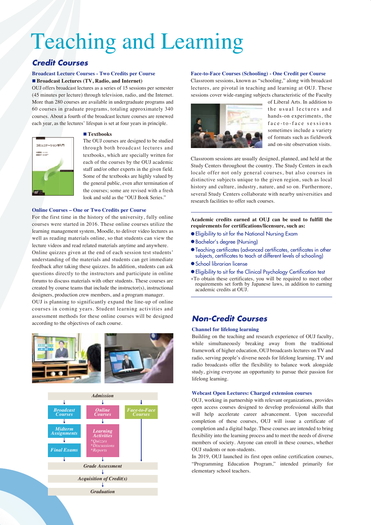## Teaching and Learning

## *Credit Courses*

### **Broadcast Lecture Courses - Two Credits per Course** ■ **Broadcast Lectures (TV, Radio, and Internet)**

OUJ offers broadcast lectures as a series of 15 sessions per semester (45 minutes per lecture) through television, radio, and the Internet. More than 280 courses are available in undergraduate programs and 60 courses in graduate programs, totaling approximately 340 courses. About a fourth of the broadcast lecture courses are renewed each year, as the lectures' lifespan is set at four years in principle.

# コミュニケーション学入門  $\frac{1000}{1000}$

### ■ **Textbooks**

The OUJ courses are designed to be studied through both broadcast lectures and textbooks, which are specially written for each of the courses by the OUJ academic staff and/or other experts in the given field. Some of the textbooks are highly valued by the general public, even after termination of the courses; some are revised with a fresh look and sold as the "OUI Book Series."

### **Online Courses – One or Two Credits per Course**

For the first time in the history of the university, fully online courses were started in 2016. These online courses utilize the learning management system, Moodle, to deliver video lectures as well as reading materials online, so that students can view the lecture videos and read related materials anytime and anywhere. Online quizzes given at the end of each session test students'

understanding of the materials and students can get immediate feedback after taking these quizzes. In addition, students can ask questions directly to the instructors and participate in online forums to discuss materials with other students. These courses are created by course teams that include the instructor(s), instructional designers, production crew members, and a program manager.

OUJ is planning to significantly expand the line-up of online courses in coming years. Student learning activities and assessment methods for these online courses will be designed according to the objectives of each course.





### **Face-to-Face Courses (Schooling) - One Credit per Course**

Classroom sessions, known as "schooling," along with broadcast lectures, are pivotal in teaching and learning at OUJ. These sessions cover wide-ranging subjects characteristic of the Faculty



of Liberal Arts. In addition to the usual lectures and hands-on experiments, the face-to-face sessions sometimes include a variety of formats such as fieldwork and on-site observation visits.

Classroom sessions are usually designed, planned, and held at the Study Centers throughout the country. The Study Centers in each locale offer not only general courses, but also courses in distinctive subjects unique to the given region, such as local history and culture, industry, nature, and so on. Furthermore, several Study Centers collaborate with nearby universities and research facilities to offer such courses.

**Academic credits earned at OUJ can be used to fulfill the requirements for certifications/licensure, such as:**

- Eligibility to sit for the National Nursing Exam
- Bachelor's degree (Nursing)
- Teaching certificates (advanced certificates, certificates in other subjects, certificates to teach at different levels of schooling)
- School librarian license
- Eligibility to sit for the Clinical Psychology Certification test
- \*To obtain these certificates, you will be required to meet other requirements set forth by Japanese laws, in addition to earning academic credits at OUJ.

## *Non-Credit Courses*

### **Channel for lifelong learning**

Building on the teaching and research experience of OUJ faculty, while simultaneously breaking away from the traditional framework of higher education, OUJ broadcasts lectures on TV and radio, serving people's diverse needs for lifelong learning. TV and radio broadcasts offer the flexibility to balance work alongside study, giving everyone an opportunity to pursue their passion for lifelong learning.

### **Webcast Open Lectures: Charged extension courses**

OUJ, working in partnership with relevant organizations, provides open access courses designed to develop professional skills that will help accelerate career advancement. Upon successful completion of these courses, OUJ will issue a certificate of completion and a digital badge. These courses are intended to bring flexibility into the learning process and to meet the needs of diverse members of society. Anyone can enroll in these courses, whether OUJ students or non-students.

In 2019, OUJ launched its first open online certification courses, "Programming Education Program," intended primarily for elementary school teachers.